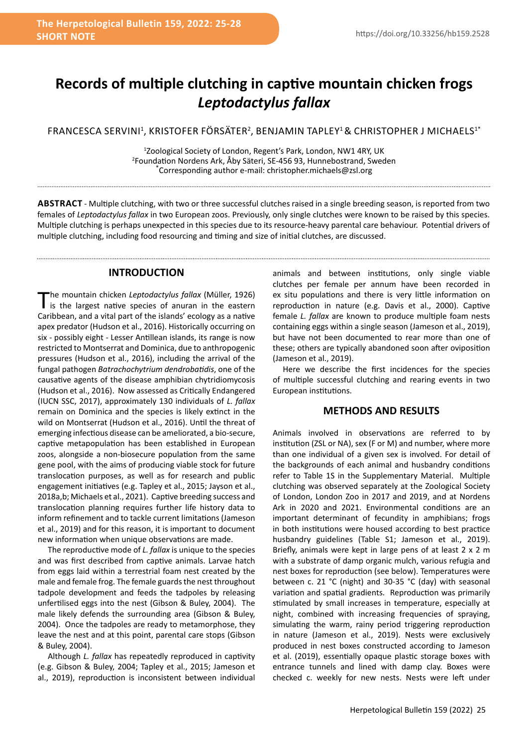# **Records of multiple clutching in captive mountain chicken frogs**  *Leptodactylus fallax*

FRANCESCA SERVINI<sup>1</sup>, KRISTOFER FÖRSÄTER<sup>2</sup>, BENJAMIN TAPLEY<sup>1</sup>& CHRISTOPHER J MICHAELS<sup>1\*</sup>

1 Zoological Society of London, Regent's Park, London, NW1 4RY, UK <sup>2</sup>Foundation Nordens Ark, Åby Säteri, SE-456 93, Hunnebostrand, Sweden<br>\*Corresponding author e-mail: christopher michaels@zsl.org Corresponding author e-mail: christopher.michaels@zsl.org

**Abstract** - Multiple clutching, with two or three successful clutches raised in a single breeding season, is reported from two females of *Leptodactylus fallax* in two European zoos. Previously, only single clutches were known to be raised by this species. Multiple clutching is perhaps unexpected in this species due to its resource-heavy parental care behaviour. Potential drivers of multiple clutching, including food resourcing and timing and size of initial clutches, are discussed.

#### **INTRODUCTION**

. . . . . . . . . . . . . . . . . . .

The mountain chicken *Leptodactylus fallax* (Müller, 1926) is the largest native species of anuran in the eastern Caribbean, and a vital part of the islands' ecology as a native apex predator (Hudson et al., 2016). Historically occurring on six - possibly eight - Lesser Antillean islands, its range is now restricted to Montserrat and Dominica, due to anthropogenic pressures (Hudson et al., 2016), including the arrival of the fungal pathogen *Batrachochytrium dendrobatidis*, one of the causative agents of the disease amphibian chytridiomycosis (Hudson et al., 2016). Now assessed as Critically Endangered (IUCN SSC, 2017), approximately 130 individuals of *L. fallax*  remain on Dominica and the species is likely extinct in the wild on Montserrat (Hudson et al., 2016). Until the threat of emerging infectious disease can be ameliorated, a bio-secure, captive metapopulation has been established in European zoos, alongside a non-biosecure population from the same gene pool, with the aims of producing viable stock for future translocation purposes, as well as for research and public engagement initiatives (e.g. Tapley et al., 2015; Jayson et al., 2018a,b; Michaels et al., 2021). Captive breeding success and translocation planning requires further life history data to inform refinement and to tackle current limitations (Jameson et al., 2019) and for this reason, it is important to document new information when unique observations are made.

The reproductive mode of *L. fallax* is unique to the species and was first described from captive animals. Larvae hatch from eggs laid within a terrestrial foam nest created by the male and female frog. The female guards the nest throughout tadpole development and feeds the tadpoles by releasing unfertilised eggs into the nest (Gibson & Buley, 2004). The male likely defends the surrounding area (Gibson & Buley, 2004). Once the tadpoles are ready to metamorphose, they leave the nest and at this point, parental care stops (Gibson & Buley, 2004).

Although *L. fallax* has repeatedly reproduced in captivity (e.g. Gibson & Buley, 2004; Tapley et al., 2015; Jameson et al., 2019), reproduction is inconsistent between individual animals and between institutions, only single viable clutches per female per annum have been recorded in ex situ populations and there is very little information on reproduction in nature (e.g. Davis et al., 2000). Captive female *L. fallax* are known to produce multiple foam nests containing eggs within a single season (Jameson et al., 2019), but have not been documented to rear more than one of these; others are typically abandoned soon after oviposition (Jameson et al., 2019).

Here we describe the first incidences for the species of multiple successful clutching and rearing events in two European institutions.

# **METHODS AND RESULTS**

Animals involved in observations are referred to by institution (ZSL or NA), sex (F or M) and number, where more than one individual of a given sex is involved. For detail of the backgrounds of each animal and husbandry conditions refer to Table 1S in the Supplementary Material. Multiple clutching was observed separately at the Zoological Society of London, London Zoo in 2017 and 2019, and at Nordens Ark in 2020 and 2021. Environmental conditions are an important determinant of fecundity in amphibians; frogs in both institutions were housed according to best practice husbandry guidelines (Table S1; Jameson et al., 2019). Briefly, animals were kept in large pens of at least 2 x 2 m with a substrate of damp organic mulch, various refugia and nest boxes for reproduction (see below). Temperatures were between c. 21 °C (night) and 30-35 °C (day) with seasonal variation and spatial gradients. Reproduction was primarily stimulated by small increases in temperature, especially at night, combined with increasing frequencies of spraying, simulating the warm, rainy period triggering reproduction in nature (Jameson et al., 2019). Nests were exclusively produced in nest boxes constructed according to Jameson et al. (2019), essentially opaque plastic storage boxes with entrance tunnels and lined with damp clay. Boxes were checked c. weekly for new nests. Nests were left under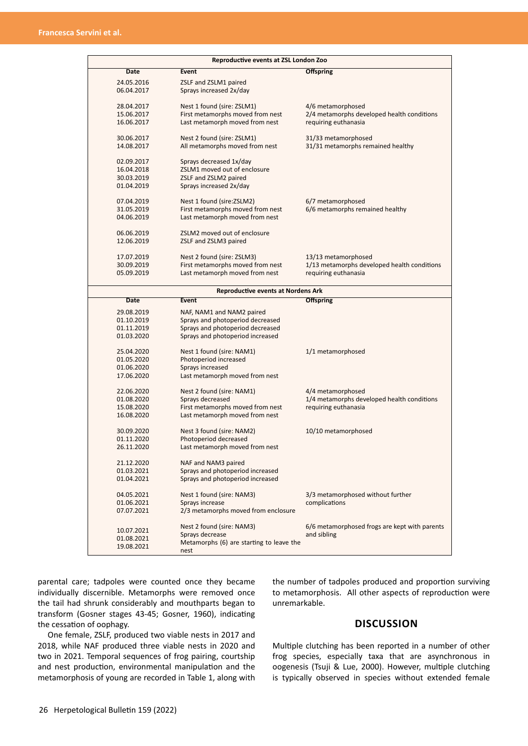| Reproductive events at ZSL London Zoo     |                                                                      |                                                                    |
|-------------------------------------------|----------------------------------------------------------------------|--------------------------------------------------------------------|
| Date                                      | <b>Event</b>                                                         | <b>Offspring</b>                                                   |
| 24.05.2016                                | ZSLF and ZSLM1 paired                                                |                                                                    |
| 06.04.2017                                | Sprays increased 2x/day                                              |                                                                    |
|                                           |                                                                      |                                                                    |
| 28.04.2017                                | Nest 1 found (sire: ZSLM1)                                           | 4/6 metamorphosed                                                  |
| 15.06.2017<br>16.06.2017                  | First metamorphs moved from nest<br>Last metamorph moved from nest   | 2/4 metamorphs developed health conditions<br>requiring euthanasia |
|                                           |                                                                      |                                                                    |
| 30.06.2017                                | Nest 2 found (sire: ZSLM1)                                           | 31/33 metamorphosed                                                |
| 14.08.2017                                | All metamorphs moved from nest                                       | 31/31 metamorphs remained healthy                                  |
|                                           |                                                                      |                                                                    |
| 02.09.2017                                | Sprays decreased 1x/day                                              |                                                                    |
| 16.04.2018<br>30.03.2019                  | ZSLM1 moved out of enclosure<br>ZSLF and ZSLM2 paired                |                                                                    |
| 01.04.2019                                | Sprays increased 2x/day                                              |                                                                    |
|                                           |                                                                      |                                                                    |
| 07.04.2019                                | Nest 1 found (sire: ZSLM2)                                           | 6/7 metamorphosed                                                  |
| 31.05.2019                                | First metamorphs moved from nest                                     | 6/6 metamorphs remained healthy                                    |
| 04.06.2019                                | Last metamorph moved from nest                                       |                                                                    |
| 06.06.2019                                | ZSLM2 moved out of enclosure                                         |                                                                    |
| 12.06.2019                                | ZSLF and ZSLM3 paired                                                |                                                                    |
|                                           |                                                                      |                                                                    |
| 17.07.2019                                | Nest 2 found (sire: ZSLM3)                                           | 13/13 metamorphosed                                                |
| 30.09.2019                                | First metamorphs moved from nest                                     | 1/13 metamorphs developed health conditions                        |
| 05.09.2019                                | Last metamorph moved from nest                                       | requiring euthanasia                                               |
|                                           |                                                                      |                                                                    |
| <b>Reproductive events at Nordens Ark</b> |                                                                      |                                                                    |
| <b>Date</b>                               | Event                                                                | <b>Offspring</b>                                                   |
| 29.08.2019                                | NAF, NAM1 and NAM2 paired                                            |                                                                    |
| 01.10.2019                                | Sprays and photoperiod decreased                                     |                                                                    |
| 01.11.2019                                | Sprays and photoperiod decreased<br>Sprays and photoperiod increased |                                                                    |
| 01.03.2020                                |                                                                      |                                                                    |
| 25.04.2020                                | Nest 1 found (sire: NAM1)                                            | 1/1 metamorphosed                                                  |
| 01.05.2020                                | Photoperiod increased                                                |                                                                    |
| 01.06.2020                                | Sprays increased                                                     |                                                                    |
| 17.06.2020                                | Last metamorph moved from nest                                       |                                                                    |
| 22.06.2020                                | Nest 2 found (sire: NAM1)                                            | 4/4 metamorphosed                                                  |
| 01.08.2020                                | Sprays decreased                                                     | 1/4 metamorphs developed health conditions                         |
| 15.08.2020                                | First metamorphs moved from nest                                     | requiring euthanasia                                               |
| 16.08.2020                                | Last metamorph moved from nest                                       |                                                                    |
|                                           |                                                                      |                                                                    |
| 30.09.2020                                | Nest 3 found (sire: NAM2)                                            | 10/10 metamorphosed                                                |
| 01.11.2020                                | Photoperiod decreased                                                |                                                                    |
| 26.11.2020                                | Last metamorph moved from nest                                       |                                                                    |
| 21.12.2020                                | NAF and NAM3 paired                                                  |                                                                    |
| 01.03.2021                                | Sprays and photoperiod increased                                     |                                                                    |
| 01.04.2021                                | Sprays and photoperiod increased                                     |                                                                    |
|                                           |                                                                      |                                                                    |
| 04.05.2021                                | Nest 1 found (sire: NAM3)                                            | 3/3 metamorphosed without further                                  |
| 01.06.2021<br>07.07.2021                  | Sprays increase<br>2/3 metamorphs moved from enclosure               | complications                                                      |
|                                           |                                                                      |                                                                    |
|                                           | Nest 2 found (sire: NAM3)                                            | 6/6 metamorphosed frogs are kept with parents                      |
| 10.07.2021<br>01.08.2021                  | Sprays decrease                                                      | and sibling                                                        |
| 19.08.2021                                | Metamorphs (6) are starting to leave the                             |                                                                    |
|                                           | nest                                                                 |                                                                    |

parental care; tadpoles were counted once they became individually discernible. Metamorphs were removed once the tail had shrunk considerably and mouthparts began to transform (Gosner stages 43-45; Gosner, 1960), indicating the cessation of oophagy.

One female, ZSLF, produced two viable nests in 2017 and 2018, while NAF produced three viable nests in 2020 and two in 2021. Temporal sequences of frog pairing, courtship and nest production, environmental manipulation and the metamorphosis of young are recorded in Table 1, along with

the number of tadpoles produced and proportion surviving to metamorphosis. All other aspects of reproduction were unremarkable.

## **DISCUSSION**

Multiple clutching has been reported in a number of other frog species, especially taxa that are asynchronous in oogenesis (Tsuji & Lue, 2000). However, multiple clutching is typically observed in species without extended female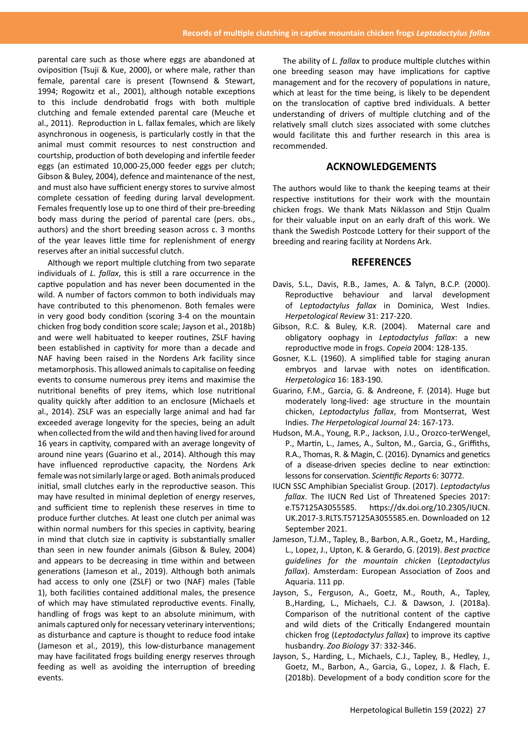parental care such as those where eggs are abandoned at oviposition (Tsuji & Kue, 2000), or where male, rather than female, parental care is present (Townsend & Stewart, 1994; Rogowitz et al., 2001), although notable exceptions to this include dendrobatid frogs with both multiple clutching and female extended parental care (Meuche et al., 2011). Reproduction in L. fallax females, which are likely asynchronous in oogenesis, is particularly costly in that the animal must commit resources to nest construction and courtship, production of both developing and infertile feeder eggs (an estimated 10,000-25,000 feeder eggs per clutch; Gibson & Buley, 2004), defence and maintenance of the nest, and must also have sufficient energy stores to survive almost complete cessation of feeding during larval development. Females frequently lose up to one third of their pre-breeding body mass during the period of parental care (pers. obs., authors) and the short breeding season across c. 3 months of the year leaves little time for replenishment of energy reserves after an initial successful clutch.

Although we report multiple clutching from two separate individuals of *L. fallax*, this is still a rare occurrence in the captive population and has never been documented in the wild. A number of factors common to both individuals may have contributed to this phenomenon. Both females were in very good body condition (scoring 3-4 on the mountain chicken frog body condition score scale; Jayson et al., 2018b) and were well habituated to keeper routines, ZSLF having been established in captivity for more than a decade and NAF having been raised in the Nordens Ark facility since metamorphosis. This allowed animals to capitalise on feeding events to consume numerous prey items and maximise the nutritional benefits of prey items, which lose nutritional quality quickly after addition to an enclosure (Michaels et al., 2014). ZSLF was an especially large animal and had far exceeded average longevity for the species, being an adult when collected from the wild and then having lived for around 16 years in captivity, compared with an average longevity of around nine years (Guarino et al., 2014). Although this may have influenced reproductive capacity, the Nordens Ark female was not similarly large or aged. Both animals produced initial, small clutches early in the reproductive season. This may have resulted in minimal depletion of energy reserves, and sufficient time to replenish these reserves in time to produce further clutches. At least one clutch per animal was within normal numbers for this species in captivity, bearing in mind that clutch size in captivity is substantially smaller than seen in new founder animals (Gibson & Buley, 2004) and appears to be decreasing in time within and between generations (Jameson et al., 2019). Although both animals had access to only one (ZSLF) or two (NAF) males (Table 1), both facilities contained additional males, the presence of which may have stimulated reproductive events. Finally, handling of frogs was kept to an absolute minimum, with animals captured only for necessary veterinary interventions; as disturbance and capture is thought to reduce food intake (Jameson et al., 2019), this low-disturbance management may have facilitated frogs building energy reserves through feeding as well as avoiding the interruption of breeding events.

The ability of *L. fallax* to produce multiple clutches within one breeding season may have implications for captive management and for the recovery of populations in nature, which at least for the time being, is likely to be dependent on the translocation of captive bred individuals. A better understanding of drivers of multiple clutching and of the relatively small clutch sizes associated with some clutches would facilitate this and further research in this area is recommended.

### **ACKNOWLEDGEMENTS**

The authors would like to thank the keeping teams at their respective institutions for their work with the mountain chicken frogs. We thank Mats Niklasson and Stijn Qualm for their valuable input on an early draft of this work. We thank the Swedish Postcode Lottery for their support of the breeding and rearing facility at Nordens Ark.

#### **REFERENCES**

- Davis, S.L., Davis, R.B., James, A. & Talyn, B.C.P. (2000). Reproductive behaviour and larval development of *Leptodactylus fallax* in Dominica, West Indies. *Herpetological Review* 31: 217-220.
- Gibson, R.C. & Buley, K.R. (2004). Maternal care and obligatory oophagy in *Leptodactylus fallax*: a new reproductive mode in frogs. *Copeia* 2004: 128-135.
- Gosner, K.L. (1960). A simplified table for staging anuran embryos and larvae with notes on identification. *Herpetologica* 16: 183-190.
- Guarino, F.M., Garcia, G. & Andreone, F. (2014). Huge but moderately long-lived: age structure in the mountain chicken, *Leptodactylus fallax*, from Montserrat, West Indies. *The Herpetological Journal* 24: 167-173.
- Hudson, M.A., Young, R.P., Jackson, J.U., Orozco-terWengel, P., Martin, L., James, A., Sulton, M., Garcia, G., Griffiths, R.A., Thomas, R. & Magin, C. (2016). Dynamics and genetics of a disease-driven species decline to near extinction: lessons for conservation. *Scientific Reports* 6: 30772.
- IUCN SSC Amphibian Specialist Group. (2017). *Leptodactylus fallax*. The IUCN Red List of Threatened Species 2017: e.T57125A3055585. https://dx.doi.org/10.2305/IUCN. UK.2017-3.RLTS.T57125A3055585.en. Downloaded on 12 September 2021.
- Jameson, T.J.M., Tapley, B., Barbon, A.R., Goetz, M., Harding, L., Lopez, J., Upton, K. & Gerardo, G. (2019). *Best practice guidelines for the mountain chicken* (*Leptodactylus fallax*). Amsterdam: European Association of Zoos and Aquaria. 111 pp.
- Jayson, S., Ferguson, A., Goetz, M., Routh, A., Tapley, B.,Harding, L., Michaels, C.J. & Dawson, J. (2018a). Comparison of the nutritional content of the captive and wild diets of the Critically Endangered mountain chicken frog (*Leptodactylus fallax*) to improve its captive husbandry. *Zoo Biology* 37: 332-346.
- Jayson, S., Harding, L., Michaels, C.J., Tapley, B., Hedley, J., Goetz, M., Barbon, A., Garcia, G., Lopez, J. & Flach, E. (2018b). Development of a body condition score for the